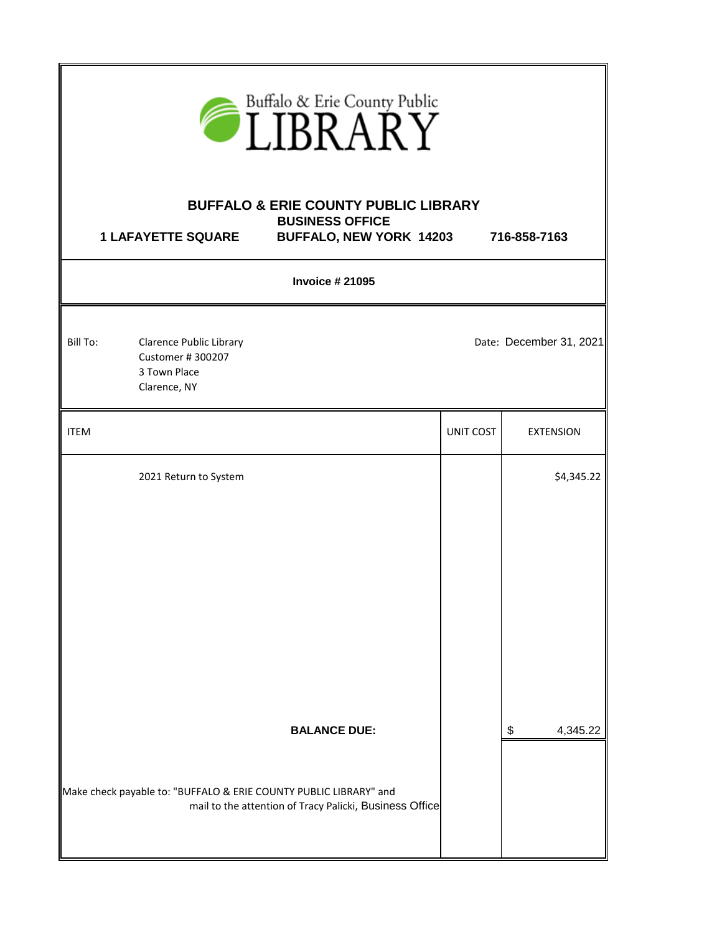| $\widehat{\text{LIBRARY}}$ |                                                                                    |                                                                                                                                                     |                  |                         |
|----------------------------|------------------------------------------------------------------------------------|-----------------------------------------------------------------------------------------------------------------------------------------------------|------------------|-------------------------|
|                            | <b>1 LAFAYETTE SQUARE</b>                                                          | <b>BUFFALO &amp; ERIE COUNTY PUBLIC LIBRARY</b><br><b>BUSINESS OFFICE</b><br><b>BUFFALO, NEW YORK 14203</b>                                         |                  | 716-858-7163            |
|                            |                                                                                    | <b>Invoice #21095</b>                                                                                                                               |                  |                         |
| Bill To:                   | <b>Clarence Public Library</b><br>Customer #300207<br>3 Town Place<br>Clarence, NY |                                                                                                                                                     |                  | Date: December 31, 2021 |
| <b>ITEM</b>                |                                                                                    |                                                                                                                                                     | <b>UNIT COST</b> | <b>EXTENSION</b>        |
|                            | 2021 Return to System                                                              |                                                                                                                                                     |                  | \$4,345.22              |
|                            |                                                                                    | <b>BALANCE DUE:</b><br>Make check payable to: "BUFFALO & ERIE COUNTY PUBLIC LIBRARY" and<br>mail to the attention of Tracy Palicki, Business Office |                  | \$<br>4,345.22          |
|                            |                                                                                    |                                                                                                                                                     |                  |                         |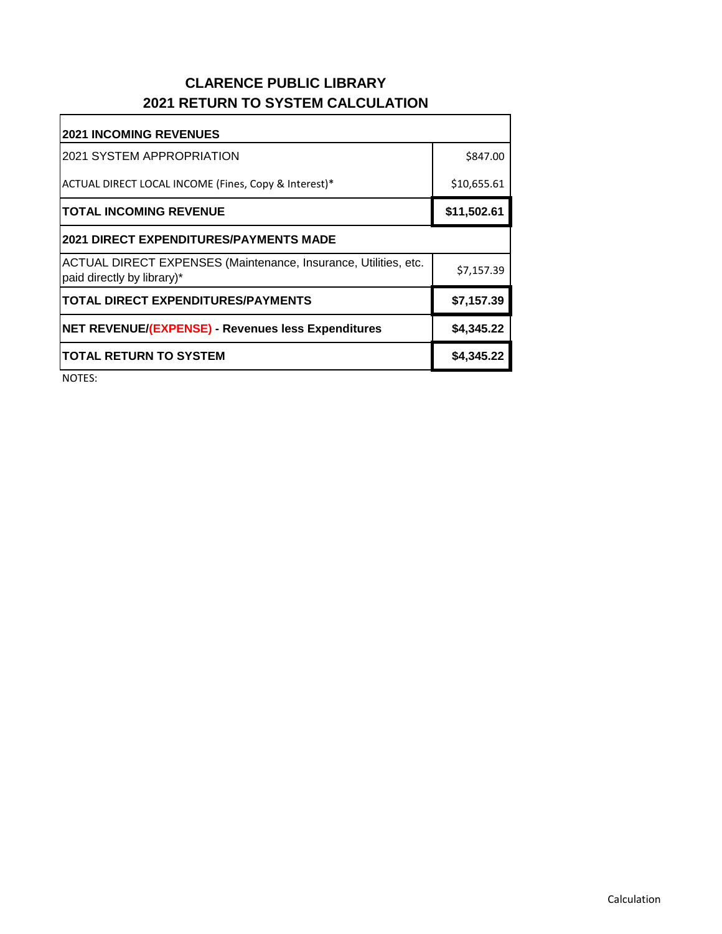## **CLARENCE PUBLIC LIBRARY 2021 RETURN TO SYSTEM CALCULATION**

| <b>2021 INCOMING REVENUES</b>                                                                 |             |  |  |  |
|-----------------------------------------------------------------------------------------------|-------------|--|--|--|
| I2021 SYSTEM APPROPRIATION                                                                    | \$847.00    |  |  |  |
| ACTUAL DIRECT LOCAL INCOME (Fines, Copy & Interest)*                                          | \$10,655.61 |  |  |  |
| <b>TOTAL INCOMING REVENUE</b>                                                                 | \$11,502.61 |  |  |  |
| 2021 DIRECT EXPENDITURES/PAYMENTS MADE                                                        |             |  |  |  |
| ACTUAL DIRECT EXPENSES (Maintenance, Insurance, Utilities, etc.<br>paid directly by library)* | \$7,157.39  |  |  |  |
| <b>TOTAL DIRECT EXPENDITURES/PAYMENTS</b>                                                     | \$7,157.39  |  |  |  |
| NET REVENUE/(EXPENSE) - Revenues less Expenditures                                            | \$4,345.22  |  |  |  |
| <b>TOTAL RETURN TO SYSTEM</b>                                                                 | \$4,345.22  |  |  |  |

NOTES: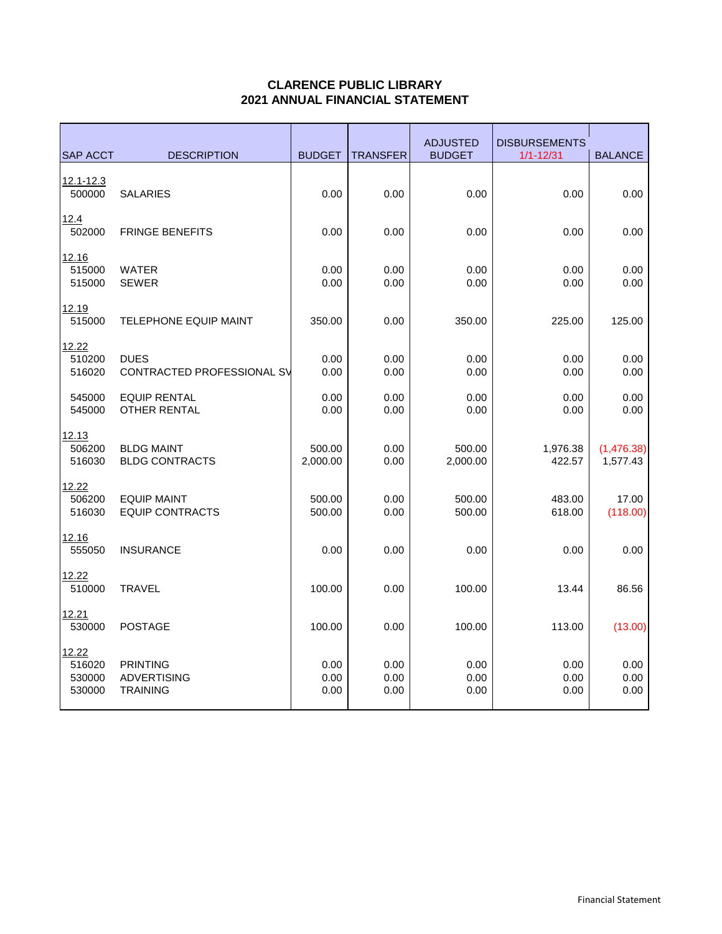## **CLARENCE PUBLIC LIBRARY 2021 ANNUAL FINANCIAL STATEMENT**

| <b>SAP ACCT</b>                     | <b>DESCRIPTION</b>                                       | <b>BUDGET</b>        | <b>TRANSFER</b>      | <b>ADJUSTED</b><br><b>BUDGET</b> | <b>DISBURSEMENTS</b><br>$1/1 - 12/31$ | <b>BALANCE</b>         |
|-------------------------------------|----------------------------------------------------------|----------------------|----------------------|----------------------------------|---------------------------------------|------------------------|
| 12.1-12.3<br>500000                 | <b>SALARIES</b>                                          | 0.00                 | 0.00                 | 0.00                             | 0.00                                  | 0.00                   |
| 12.4<br>502000                      | <b>FRINGE BENEFITS</b>                                   | 0.00                 | 0.00                 | 0.00                             | 0.00                                  | 0.00                   |
| 12.16<br>515000<br>515000           | <b>WATER</b><br><b>SEWER</b>                             | 0.00<br>0.00         | 0.00<br>0.00         | 0.00<br>0.00                     | 0.00<br>0.00                          | 0.00<br>0.00           |
| 12.19<br>515000                     | <b>TELEPHONE EQUIP MAINT</b>                             | 350.00               | 0.00                 | 350.00                           | 225.00                                | 125.00                 |
| 12.22<br>510200<br>516020           | <b>DUES</b><br>CONTRACTED PROFESSIONAL SV                | 0.00<br>0.00         | 0.00<br>0.00         | 0.00<br>0.00                     | 0.00<br>0.00                          | 0.00<br>0.00           |
| 545000<br>545000                    | <b>EQUIP RENTAL</b><br><b>OTHER RENTAL</b>               | 0.00<br>0.00         | 0.00<br>0.00         | 0.00<br>0.00                     | 0.00<br>0.00                          | 0.00<br>0.00           |
| 12.13<br>506200<br>516030           | <b>BLDG MAINT</b><br><b>BLDG CONTRACTS</b>               | 500.00<br>2,000.00   | 0.00<br>0.00         | 500.00<br>2,000.00               | 1,976.38<br>422.57                    | (1,476.38)<br>1,577.43 |
| 12.22<br>506200<br>516030           | <b>EQUIP MAINT</b><br><b>EQUIP CONTRACTS</b>             | 500.00<br>500.00     | 0.00<br>0.00         | 500.00<br>500.00                 | 483.00<br>618.00                      | 17.00<br>(118.00)      |
| 12.16<br>555050                     | <b>INSURANCE</b>                                         | 0.00                 | 0.00                 | 0.00                             | 0.00                                  | 0.00                   |
| 12.22<br>510000                     | <b>TRAVEL</b>                                            | 100.00               | 0.00                 | 100.00                           | 13.44                                 | 86.56                  |
| 12.21<br>530000                     | <b>POSTAGE</b>                                           | 100.00               | 0.00                 | 100.00                           | 113.00                                | (13.00)                |
| 12.22<br>516020<br>530000<br>530000 | <b>PRINTING</b><br><b>ADVERTISING</b><br><b>TRAINING</b> | 0.00<br>0.00<br>0.00 | 0.00<br>0.00<br>0.00 | 0.00<br>0.00<br>0.00             | 0.00<br>0.00<br>0.00                  | 0.00<br>0.00<br>0.00   |